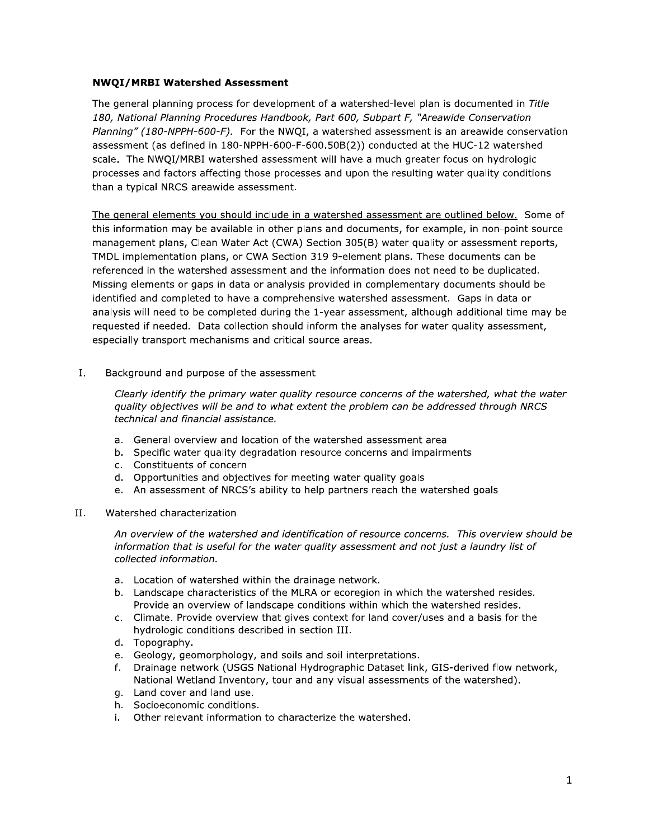## **NWQI/MRBI Watershed Assessment**

The general planning process for development of a watershed-level plan is documented in Title 180, National Planning Procedures Handbook, Part 600, Subpart F, "Areawide Conservation Planning" (180-NPPH-600-F). For the NWQI, a watershed assessment is an areawide conservation assessment (as defined in 180-NPPH-600-F-600.50B(2)) conducted at the HUC-12 watershed scale. The NWOI/MRBI watershed assessment will have a much greater focus on hydrologic processes and factors affecting those processes and upon the resulting water quality conditions than a typical NRCS areawide assessment.

The general elements you should include in a watershed assessment are outlined below. Some of this information may be available in other plans and documents, for example, in non-point source management plans, Clean Water Act (CWA) Section 305(B) water quality or assessment reports, TMDL implementation plans, or CWA Section 319 9-element plans. These documents can be referenced in the watershed assessment and the information does not need to be duplicated. Missing elements or gaps in data or analysis provided in complementary documents should be identified and completed to have a comprehensive watershed assessment. Gaps in data or analysis will need to be completed during the 1-year assessment, although additional time may be requested if needed. Data collection should inform the analyses for water quality assessment, especially transport mechanisms and critical source areas.

## $\mathbf{I}$ . Background and purpose of the assessment

Clearly identify the primary water quality resource concerns of the watershed, what the water quality objectives will be and to what extent the problem can be addressed through NRCS technical and financial assistance.

- a. General overview and location of the watershed assessment area
- b. Specific water quality degradation resource concerns and impairments
- c. Constituents of concern
- d. Opportunities and objectives for meeting water quality goals
- e. An assessment of NRCS's ability to help partners reach the watershed goals

## II. Watershed characterization

An overview of the watershed and identification of resource concerns. This overview should be information that is useful for the water quality assessment and not just a laundry list of collected information.

- a. Location of watershed within the drainage network.
- b. Landscape characteristics of the MLRA or ecoregion in which the watershed resides. Provide an overview of landscape conditions within which the watershed resides.
- c. Climate. Provide overview that gives context for land cover/uses and a basis for the hydrologic conditions described in section III.
- d. Topography.
- e. Geology, geomorphology, and soils and soil interpretations.
- f. Drainage network (USGS National Hydrographic Dataset link, GIS-derived flow network, National Wetland Inventory, tour and any visual assessments of the watershed).
- g. Land cover and land use.
- h. Socioeconomic conditions.
- i. Other relevant information to characterize the watershed.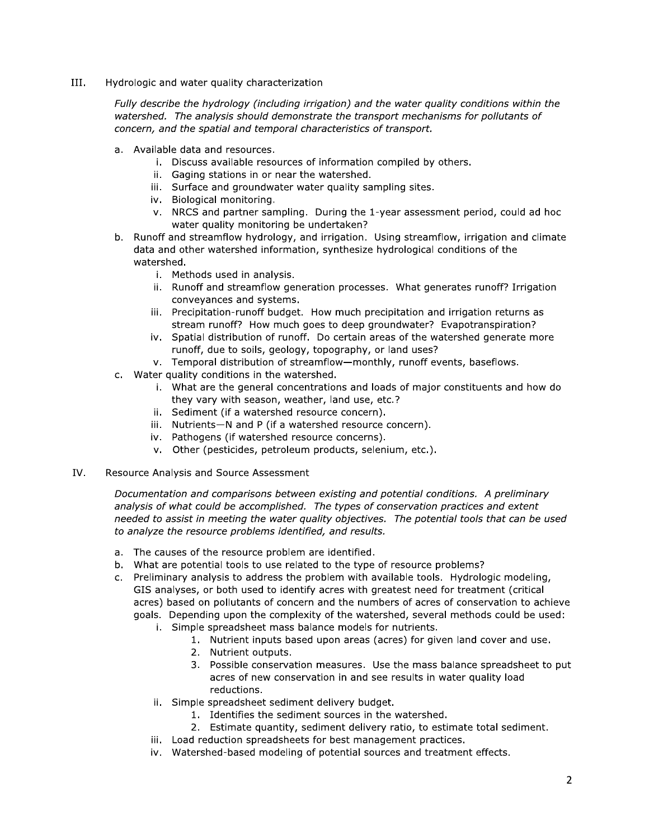III. Hydrologic and water quality characterization

> Fully describe the hydrology (including irrigation) and the water quality conditions within the watershed. The analysis should demonstrate the transport mechanisms for pollutants of concern, and the spatial and temporal characteristics of transport.

- a. Available data and resources.
	- i. Discuss available resources of information compiled by others.
	- ii. Gaging stations in or near the watershed.
	- iii. Surface and groundwater water quality sampling sites.
	- iv. Biological monitoring.
	- v. NRCS and partner sampling. During the 1-year assessment period, could ad hoc water quality monitoring be undertaken?
- b. Runoff and streamflow hydrology, and irrigation. Using streamflow, irrigation and climate data and other watershed information, synthesize hydrological conditions of the watershed.
	- i. Methods used in analysis.
	- ii. Runoff and streamflow generation processes. What generates runoff? Irrigation conveyances and systems.
	- iii. Precipitation-runoff budget. How much precipitation and irrigation returns as stream runoff? How much goes to deep groundwater? Evapotranspiration?
	- iv. Spatial distribution of runoff. Do certain areas of the watershed generate more runoff, due to soils, geology, topography, or land uses?
	- v. Temporal distribution of streamflow-monthly, runoff events, baseflows.
- c. Water quality conditions in the watershed.
	- i. What are the general concentrations and loads of major constituents and how do they vary with season, weather, land use, etc.?
	- ii. Sediment (if a watershed resource concern).
	- iii. Nutrients-N and P (if a watershed resource concern).
	- iv. Pathogens (if watershed resource concerns).
	- v. Other (pesticides, petroleum products, selenium, etc.).
- IV. Resource Analysis and Source Assessment

Documentation and comparisons between existing and potential conditions. A preliminary analysis of what could be accomplished. The types of conservation practices and extent needed to assist in meeting the water quality objectives. The potential tools that can be used to analyze the resource problems identified, and results.

- a. The causes of the resource problem are identified.
- b. What are potential tools to use related to the type of resource problems?
- c. Preliminary analysis to address the problem with available tools. Hydrologic modeling, GIS analyses, or both used to identify acres with greatest need for treatment (critical acres) based on pollutants of concern and the numbers of acres of conservation to achieve goals. Depending upon the complexity of the watershed, several methods could be used:
	- i. Simple spreadsheet mass balance models for nutrients.
		- 1. Nutrient inputs based upon areas (acres) for given land cover and use.
		- 2. Nutrient outputs.
		- 3. Possible conservation measures. Use the mass balance spreadsheet to put acres of new conservation in and see results in water quality load reductions.
	- ii. Simple spreadsheet sediment delivery budget.
		- 1. Identifies the sediment sources in the watershed.
		- 2. Estimate quantity, sediment delivery ratio, to estimate total sediment.
	- iii. Load reduction spreadsheets for best management practices.
	- iv. Watershed-based modeling of potential sources and treatment effects.